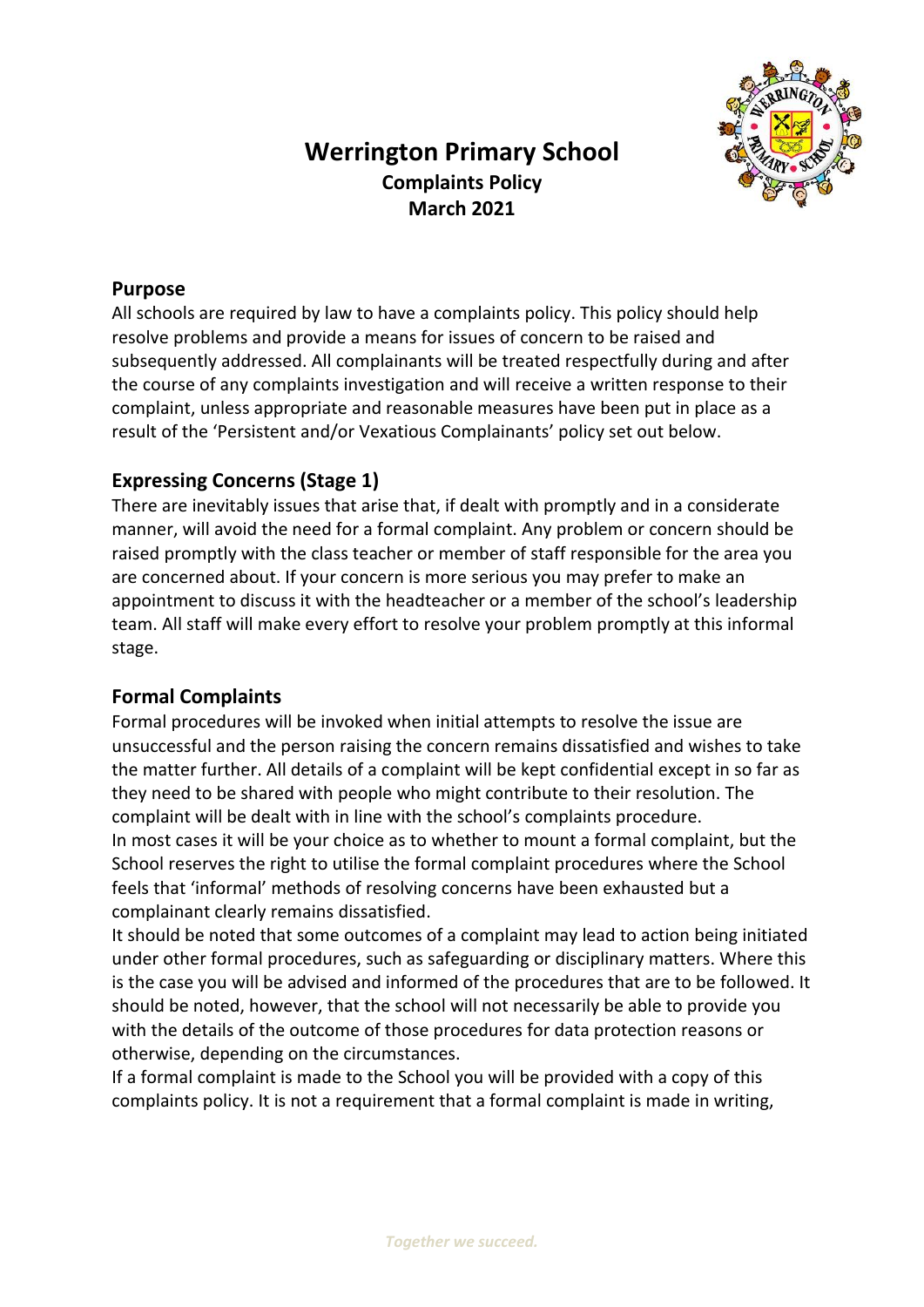# **Werrington Primary School Complaints Policy March 2021**



## **Purpose**

All schools are required by law to have a complaints policy. This policy should help resolve problems and provide a means for issues of concern to be raised and subsequently addressed. All complainants will be treated respectfully during and after the course of any complaints investigation and will receive a written response to their complaint, unless appropriate and reasonable measures have been put in place as a result of the 'Persistent and/or Vexatious Complainants' policy set out below.

# **Expressing Concerns (Stage 1)**

There are inevitably issues that arise that, if dealt with promptly and in a considerate manner, will avoid the need for a formal complaint. Any problem or concern should be raised promptly with the class teacher or member of staff responsible for the area you are concerned about. If your concern is more serious you may prefer to make an appointment to discuss it with the headteacher or a member of the school's leadership team. All staff will make every effort to resolve your problem promptly at this informal stage.

### **Formal Complaints**

Formal procedures will be invoked when initial attempts to resolve the issue are unsuccessful and the person raising the concern remains dissatisfied and wishes to take the matter further. All details of a complaint will be kept confidential except in so far as they need to be shared with people who might contribute to their resolution. The complaint will be dealt with in line with the school's complaints procedure. In most cases it will be your choice as to whether to mount a formal complaint, but the School reserves the right to utilise the formal complaint procedures where the School feels that 'informal' methods of resolving concerns have been exhausted but a complainant clearly remains dissatisfied.

It should be noted that some outcomes of a complaint may lead to action being initiated under other formal procedures, such as safeguarding or disciplinary matters. Where this is the case you will be advised and informed of the procedures that are to be followed. It should be noted, however, that the school will not necessarily be able to provide you with the details of the outcome of those procedures for data protection reasons or otherwise, depending on the circumstances.

If a formal complaint is made to the School you will be provided with a copy of this complaints policy. It is not a requirement that a formal complaint is made in writing,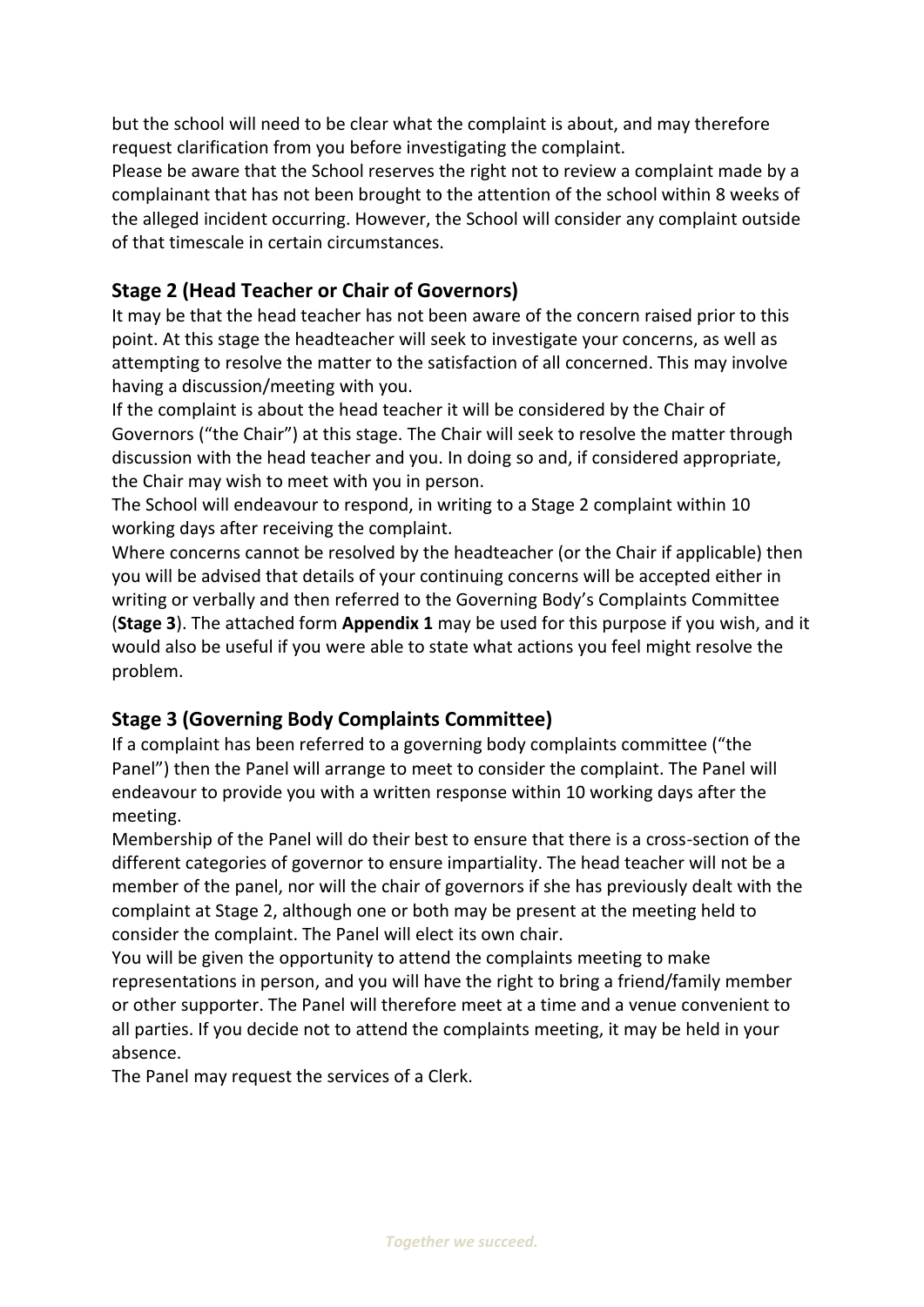but the school will need to be clear what the complaint is about, and may therefore request clarification from you before investigating the complaint.

Please be aware that the School reserves the right not to review a complaint made by a complainant that has not been brought to the attention of the school within 8 weeks of the alleged incident occurring. However, the School will consider any complaint outside of that timescale in certain circumstances.

# **Stage 2 (Head Teacher or Chair of Governors)**

It may be that the head teacher has not been aware of the concern raised prior to this point. At this stage the headteacher will seek to investigate your concerns, as well as attempting to resolve the matter to the satisfaction of all concerned. This may involve having a discussion/meeting with you.

If the complaint is about the head teacher it will be considered by the Chair of Governors ("the Chair") at this stage. The Chair will seek to resolve the matter through discussion with the head teacher and you. In doing so and, if considered appropriate, the Chair may wish to meet with you in person.

The School will endeavour to respond, in writing to a Stage 2 complaint within 10 working days after receiving the complaint.

Where concerns cannot be resolved by the headteacher (or the Chair if applicable) then you will be advised that details of your continuing concerns will be accepted either in writing or verbally and then referred to the Governing Body's Complaints Committee (**Stage 3**). The attached form **Appendix 1** may be used for this purpose if you wish, and it would also be useful if you were able to state what actions you feel might resolve the problem.

### **Stage 3 (Governing Body Complaints Committee)**

If a complaint has been referred to a governing body complaints committee ("the Panel") then the Panel will arrange to meet to consider the complaint. The Panel will endeavour to provide you with a written response within 10 working days after the meeting.

Membership of the Panel will do their best to ensure that there is a cross-section of the different categories of governor to ensure impartiality. The head teacher will not be a member of the panel, nor will the chair of governors if she has previously dealt with the complaint at Stage 2, although one or both may be present at the meeting held to consider the complaint. The Panel will elect its own chair.

You will be given the opportunity to attend the complaints meeting to make representations in person, and you will have the right to bring a friend/family member or other supporter. The Panel will therefore meet at a time and a venue convenient to all parties. If you decide not to attend the complaints meeting, it may be held in your absence.

The Panel may request the services of a Clerk.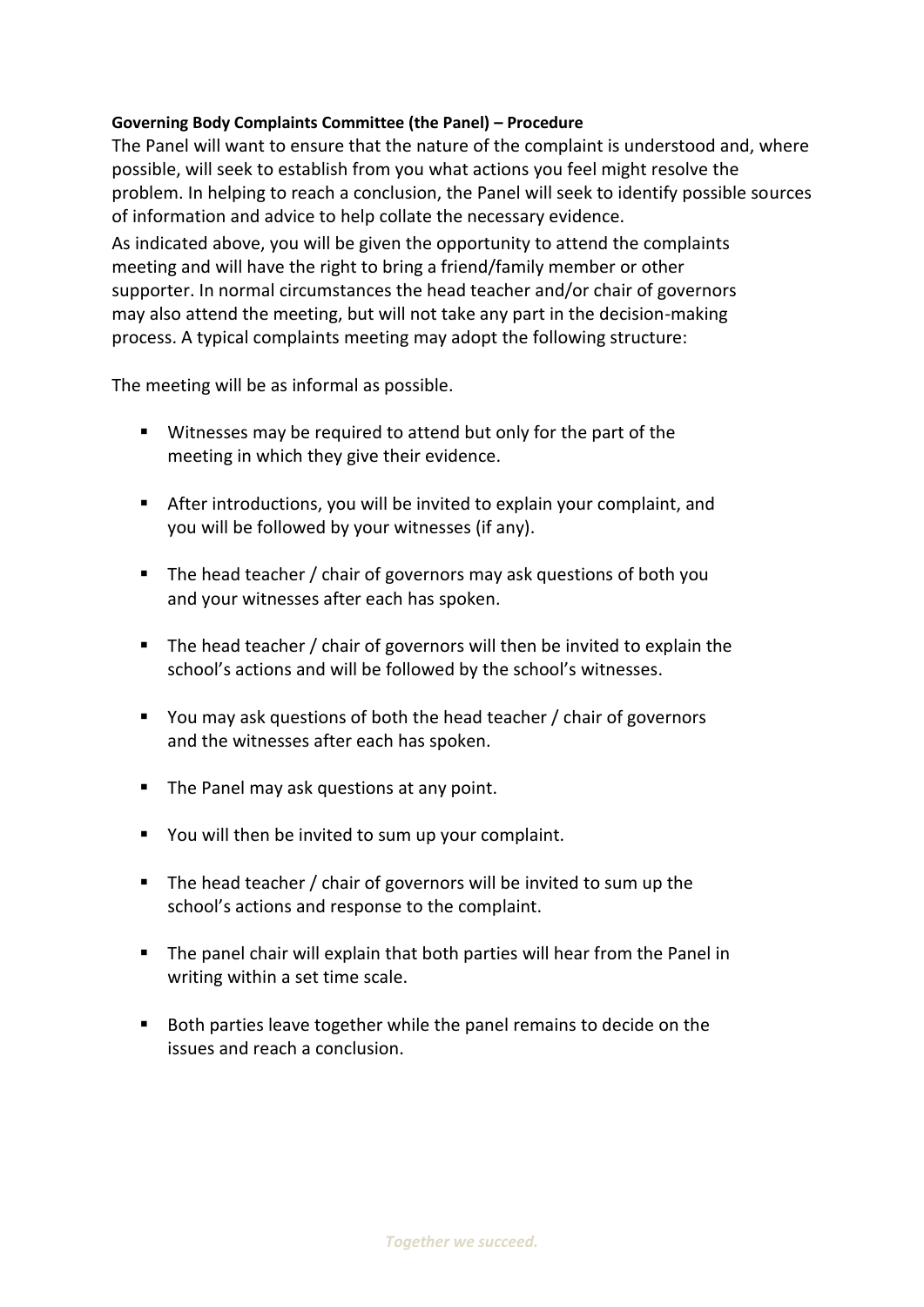#### **Governing Body Complaints Committee (the Panel) – Procedure**

The Panel will want to ensure that the nature of the complaint is understood and, where possible, will seek to establish from you what actions you feel might resolve the problem. In helping to reach a conclusion, the Panel will seek to identify possible sources of information and advice to help collate the necessary evidence. As indicated above, you will be given the opportunity to attend the complaints meeting and will have the right to bring a friend/family member or other supporter. In normal circumstances the head teacher and/or chair of governors may also attend the meeting, but will not take any part in the decision-making process. A typical complaints meeting may adopt the following structure:

The meeting will be as informal as possible.

- **Witnesses may be required to attend but only for the part of the** meeting in which they give their evidence.
- After introductions, you will be invited to explain your complaint, and you will be followed by your witnesses (if any).
- The head teacher / chair of governors may ask questions of both you and your witnesses after each has spoken.
- $\blacksquare$  The head teacher / chair of governors will then be invited to explain the school's actions and will be followed by the school's witnesses.
- You may ask questions of both the head teacher / chair of governors and the witnesses after each has spoken.
- The Panel may ask questions at any point.
- You will then be invited to sum up your complaint.
- The head teacher / chair of governors will be invited to sum up the school's actions and response to the complaint.
- **The panel chair will explain that both parties will hear from the Panel in** writing within a set time scale.
- Both parties leave together while the panel remains to decide on the issues and reach a conclusion.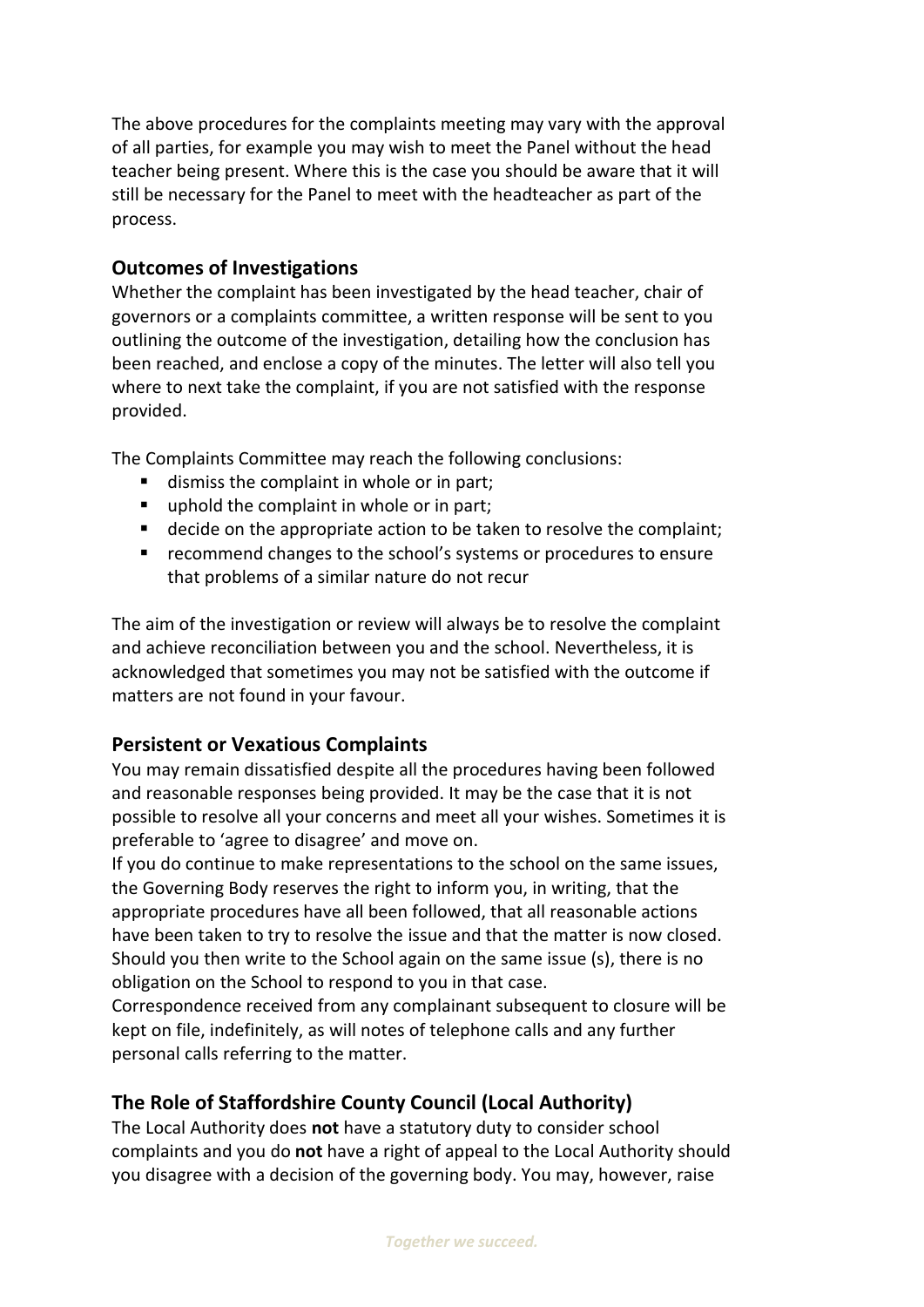The above procedures for the complaints meeting may vary with the approval of all parties, for example you may wish to meet the Panel without the head teacher being present. Where this is the case you should be aware that it will still be necessary for the Panel to meet with the headteacher as part of the process.

### **Outcomes of Investigations**

Whether the complaint has been investigated by the head teacher, chair of governors or a complaints committee, a written response will be sent to you outlining the outcome of the investigation, detailing how the conclusion has been reached, and enclose a copy of the minutes. The letter will also tell you where to next take the complaint, if you are not satisfied with the response provided.

The Complaints Committee may reach the following conclusions:

- dismiss the complaint in whole or in part;
- uphold the complaint in whole or in part;
- decide on the appropriate action to be taken to resolve the complaint;
- **F** recommend changes to the school's systems or procedures to ensure that problems of a similar nature do not recur

The aim of the investigation or review will always be to resolve the complaint and achieve reconciliation between you and the school. Nevertheless, it is acknowledged that sometimes you may not be satisfied with the outcome if matters are not found in your favour.

### **Persistent or Vexatious Complaints**

You may remain dissatisfied despite all the procedures having been followed and reasonable responses being provided. It may be the case that it is not possible to resolve all your concerns and meet all your wishes. Sometimes it is preferable to 'agree to disagree' and move on.

If you do continue to make representations to the school on the same issues, the Governing Body reserves the right to inform you, in writing, that the appropriate procedures have all been followed, that all reasonable actions have been taken to try to resolve the issue and that the matter is now closed. Should you then write to the School again on the same issue (s), there is no obligation on the School to respond to you in that case.

Correspondence received from any complainant subsequent to closure will be kept on file, indefinitely, as will notes of telephone calls and any further personal calls referring to the matter.

# **The Role of Staffordshire County Council (Local Authority)**

The Local Authority does **not** have a statutory duty to consider school complaints and you do **not** have a right of appeal to the Local Authority should you disagree with a decision of the governing body. You may, however, raise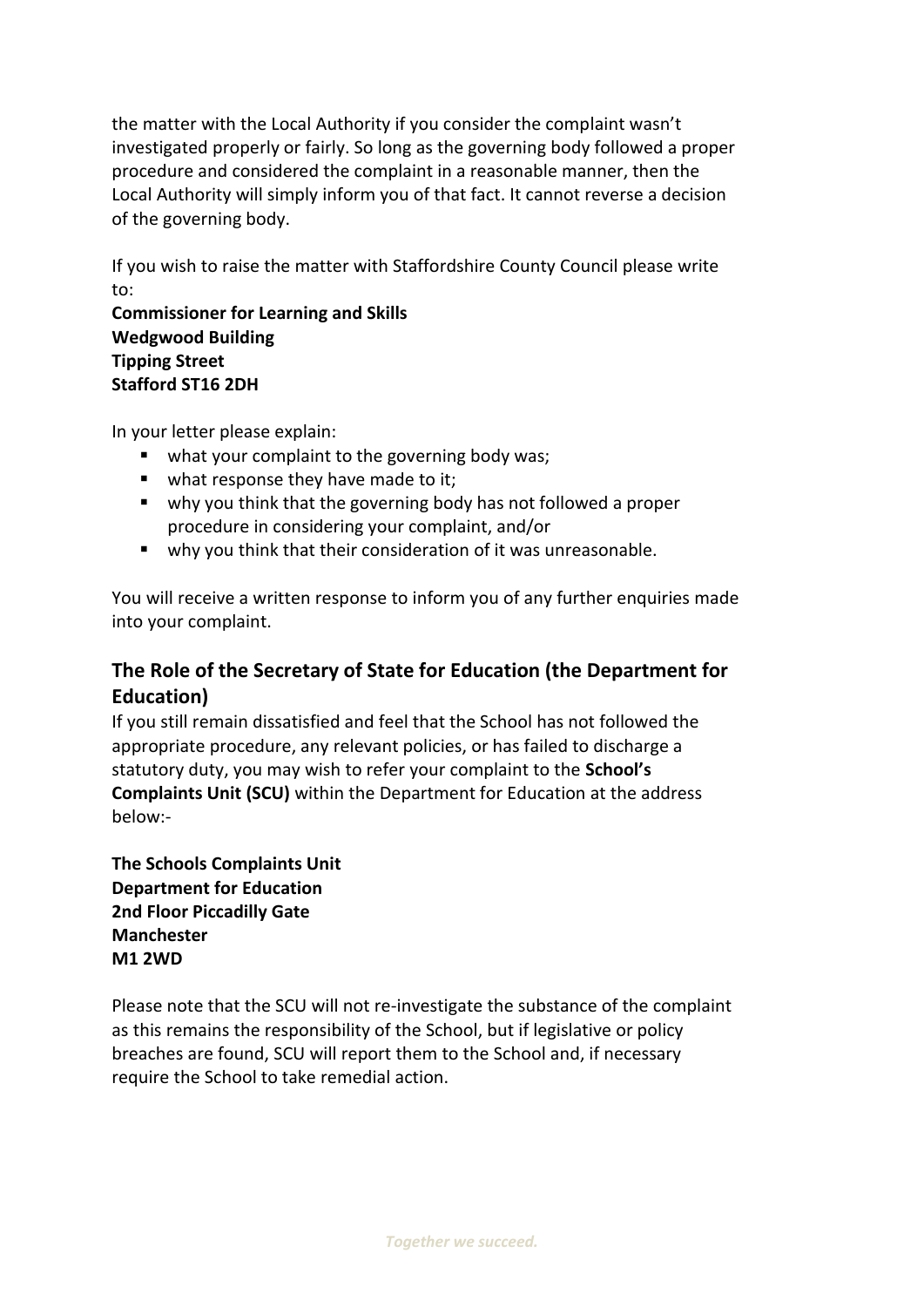the matter with the Local Authority if you consider the complaint wasn't investigated properly or fairly. So long as the governing body followed a proper procedure and considered the complaint in a reasonable manner, then the Local Authority will simply inform you of that fact. It cannot reverse a decision of the governing body.

If you wish to raise the matter with Staffordshire County Council please write to:

**Commissioner for Learning and Skills Wedgwood Building Tipping Street Stafford ST16 2DH**

In your letter please explain:

- what your complaint to the governing body was;
- what response they have made to it;
- why you think that the governing body has not followed a proper procedure in considering your complaint, and/or
- why you think that their consideration of it was unreasonable.

You will receive a written response to inform you of any further enquiries made into your complaint.

# **The Role of the Secretary of State for Education (the Department for Education)**

If you still remain dissatisfied and feel that the School has not followed the appropriate procedure, any relevant policies, or has failed to discharge a statutory duty, you may wish to refer your complaint to the **School's Complaints Unit (SCU)** within the Department for Education at the address below:-

**The Schools Complaints Unit Department for Education 2nd Floor Piccadilly Gate Manchester M1 2WD** 

Please note that the SCU will not re-investigate the substance of the complaint as this remains the responsibility of the School, but if legislative or policy breaches are found, SCU will report them to the School and, if necessary require the School to take remedial action.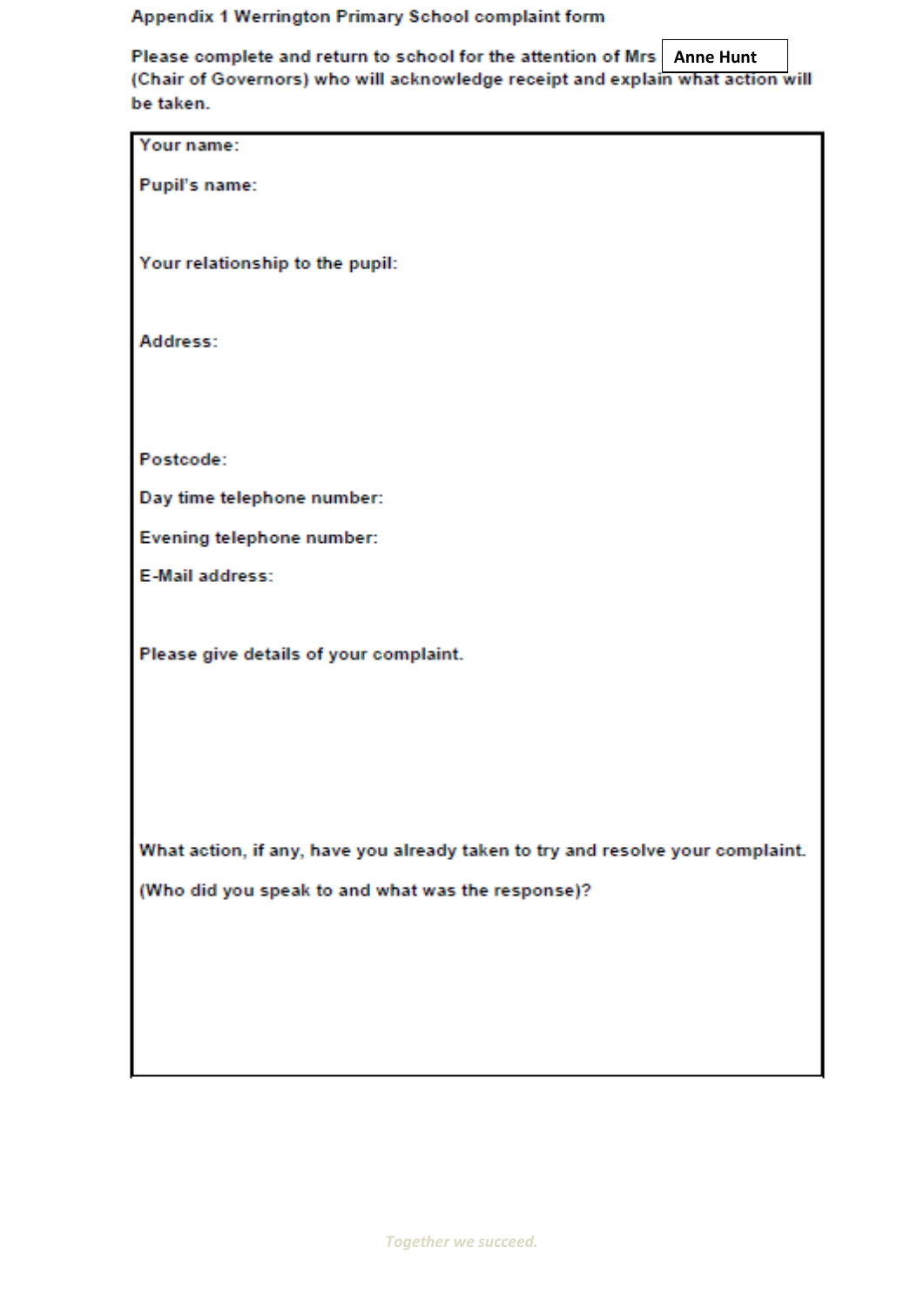### Appendix 1 Werrington Primary School complaint form

Please complete and return to school for the attention of Mrs Anne Hunt<br>(Chair of Governors) who will acknowledge receipt and explain what action will be taken.